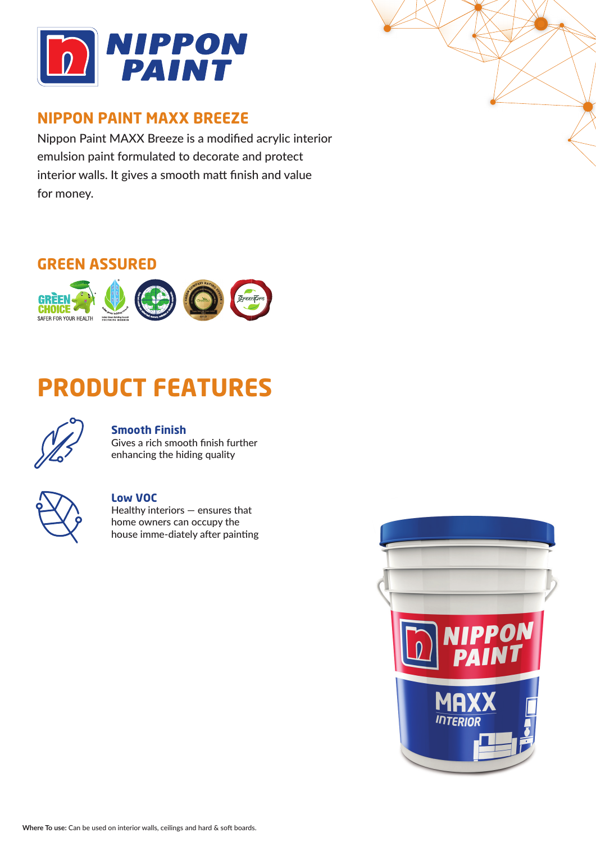

## **NIPPON PAINT MAXX BREEZE**

Nippon Paint MAXX Breeze is a modified acrylic interior emulsion paint formulated to decorate and protect interior walls. It gives a smooth matt finish and value for money.

## **GREEN ASSURED**



# **PRODUCT FEATURES**



## **Smooth Finish**

Gives a rich smooth finish further enhancing the hiding quality



### **Low VOC**

Healthy interiors — ensures that home owners can occupy the house imme-diately after painting